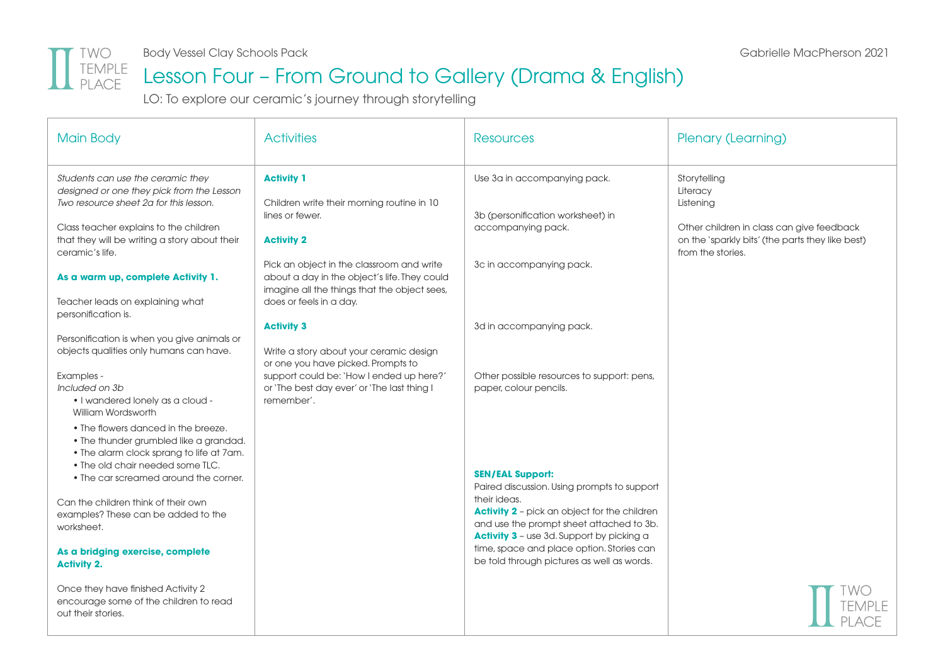

#### Lesson Four – From Ground to Gallery (Drama & English)

LO: To explore our ceramic's journey through storytelling

| <b>Main Body</b>                                                                                                                                                                                                                                                                                                                                             | <b>Activities</b>                                                                                                                                                                                                                                                               | <b>Resources</b>                                                                                                                                                                                                                                                                                                                         | Plenary (Learning)                                                                                                                                          |
|--------------------------------------------------------------------------------------------------------------------------------------------------------------------------------------------------------------------------------------------------------------------------------------------------------------------------------------------------------------|---------------------------------------------------------------------------------------------------------------------------------------------------------------------------------------------------------------------------------------------------------------------------------|------------------------------------------------------------------------------------------------------------------------------------------------------------------------------------------------------------------------------------------------------------------------------------------------------------------------------------------|-------------------------------------------------------------------------------------------------------------------------------------------------------------|
| Students can use the ceramic they<br>designed or one they pick from the Lesson<br>Two resource sheet 2a for this lesson.<br>Class teacher explains to the children<br>that they will be writing a story about their<br>ceramic's life.<br>As a warm up, complete Activity 1.<br>Teacher leads on explaining what                                             | <b>Activity 1</b><br>Children write their morning routine in 10<br>lines or fewer.<br><b>Activity 2</b><br>Pick an object in the classroom and write<br>about a day in the object's life. They could<br>imagine all the things that the object sees,<br>does or feels in a day. | Use 3a in accompanying pack.<br>3b (personification worksheet) in<br>accompanying pack.<br>3c in accompanying pack.                                                                                                                                                                                                                      | Storytelling<br>Literacy<br>Listening<br>Other children in class can give feedback<br>on the 'sparkly bits' (the parts they like best)<br>from the stories. |
| personification is.<br>Personification is when you give animals or<br>objects qualities only humans can have.                                                                                                                                                                                                                                                | <b>Activity 3</b><br>Write a story about your ceramic design<br>or one you have picked. Prompts to                                                                                                                                                                              | 3d in accompanying pack.                                                                                                                                                                                                                                                                                                                 |                                                                                                                                                             |
| Examples -<br>Included on 3b<br>• I wandered lonely as a cloud -<br>William Wordsworth                                                                                                                                                                                                                                                                       | support could be: 'How I ended up here?'<br>or 'The best day ever' or 'The last thing I<br>remember'.                                                                                                                                                                           | Other possible resources to support: pens,<br>paper, colour pencils.                                                                                                                                                                                                                                                                     |                                                                                                                                                             |
| • The flowers danced in the breeze.<br>. The thunder grumbled like a grandad.<br>. The alarm clock sprang to life at 7am.<br>. The old chair needed some TLC.<br>• The car screamed around the corner.<br>Can the children think of their own<br>examples? These can be added to the<br>worksheet.<br>As a bridging exercise, complete<br><b>Activity 2.</b> |                                                                                                                                                                                                                                                                                 | <b>SEN/EAL Support:</b><br>Paired discussion. Using prompts to support<br>their ideas.<br><b>Activity 2</b> - pick an object for the children<br>and use the prompt sheet attached to 3b.<br><b>Activity 3</b> - use 3d. Support by picking a<br>time, space and place option. Stories can<br>be told through pictures as well as words. |                                                                                                                                                             |
| Once they have finished Activity 2<br>encourage some of the children to read<br>out their stories.                                                                                                                                                                                                                                                           |                                                                                                                                                                                                                                                                                 |                                                                                                                                                                                                                                                                                                                                          |                                                                                                                                                             |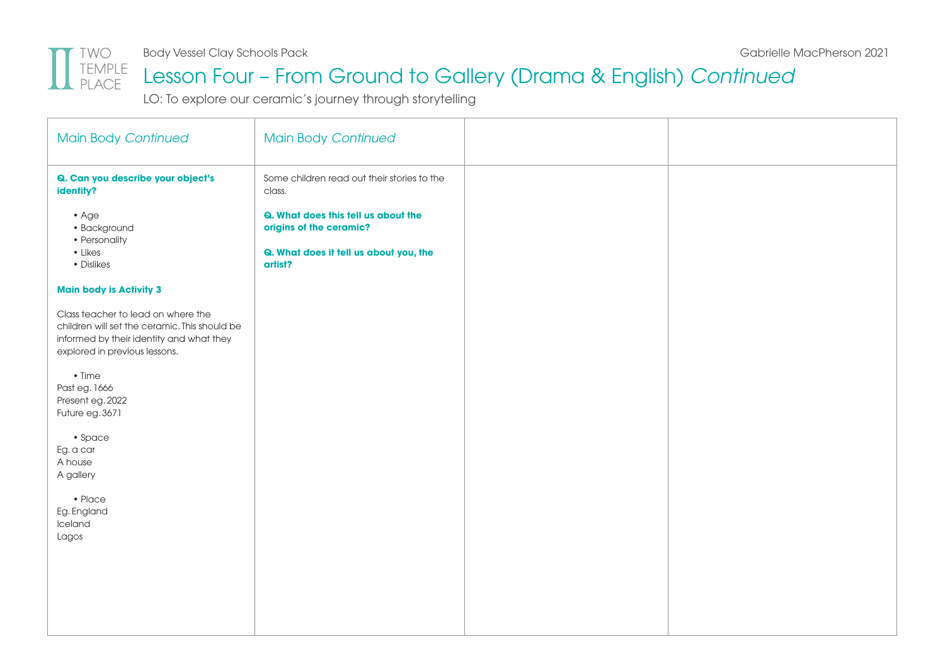

Body Vessel Clay Schools Pack Gabrielle MacPherson 2021

#### Lesson Four – From Ground to Gallery (Drama & English) *Continued*

LO: To explore our ceramic's journey through storytelling

| <b>Main Body Continued</b>                                                                                                                                       | <b>Main Body Continued</b>                                                                                          |  |
|------------------------------------------------------------------------------------------------------------------------------------------------------------------|---------------------------------------------------------------------------------------------------------------------|--|
| Q. Can you describe your object's<br>identity?                                                                                                                   | Some children read out their stories to the<br>class.                                                               |  |
| $\bullet$ Age<br>· Background<br>• Personality<br>$\bullet$ Likes<br>• Dislikes                                                                                  | Q. What does this tell us about the<br>origins of the ceramic?<br>Q. What does it tell us about you, the<br>artist? |  |
| <b>Main body is Activity 3</b>                                                                                                                                   |                                                                                                                     |  |
| Class teacher to lead on where the<br>children will set the ceramic. This should be<br>informed by their identity and what they<br>explored in previous lessons. |                                                                                                                     |  |
| $\bullet$ Time<br>Past eg. 1666<br>Present eg. 2022<br>Future eg. 3671                                                                                           |                                                                                                                     |  |
| • Space<br>Eg. a car<br>A house<br>A gallery                                                                                                                     |                                                                                                                     |  |
| • Place<br>Eg. England<br>Iceland<br>Lagos                                                                                                                       |                                                                                                                     |  |
|                                                                                                                                                                  |                                                                                                                     |  |
|                                                                                                                                                                  |                                                                                                                     |  |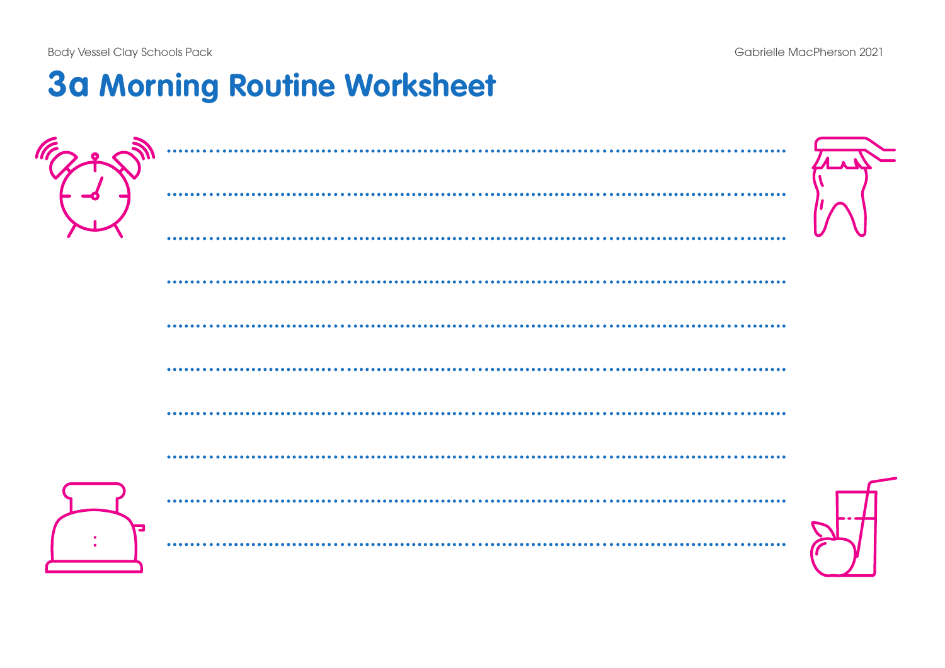**Body Vessel Clay Schools Pack** 

## **3a Morning Routine Worksheet**

| .            |  |
|--------------|--|
|              |  |
|              |  |
|              |  |
|              |  |
|              |  |
| $••••••••••$ |  |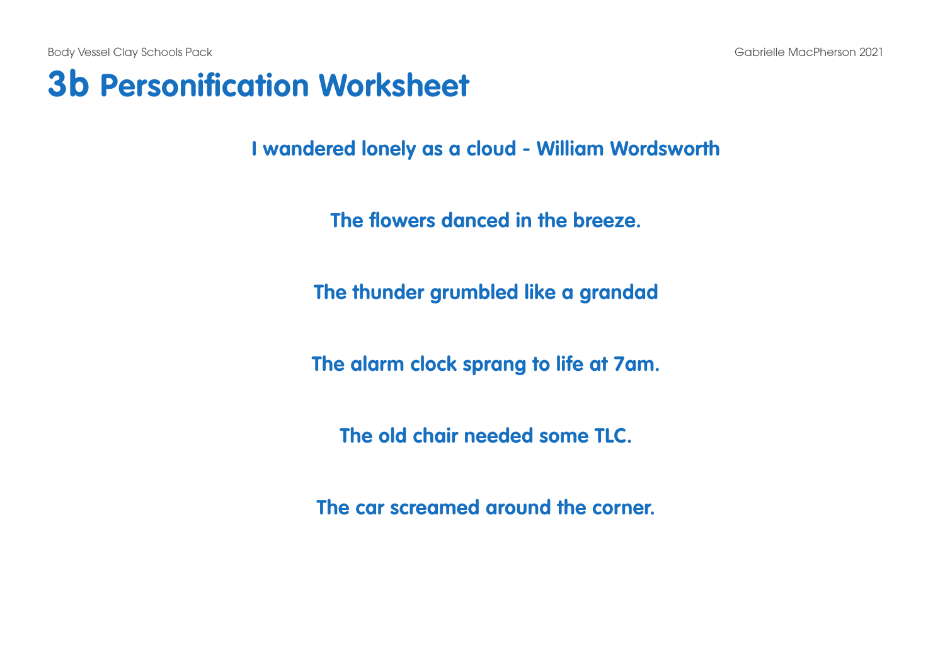Body Vessel Clay Schools Pack Gabrielle MacPherson 2021

#### **3b Personification Worksheet**

**I wandered lonely as a cloud - William Wordsworth**

**The flowers danced in the breeze.**

**The thunder grumbled like a grandad**

**The alarm clock sprang to life at 7am.**

**The old chair needed some TLC.**

**The car screamed around the corner.**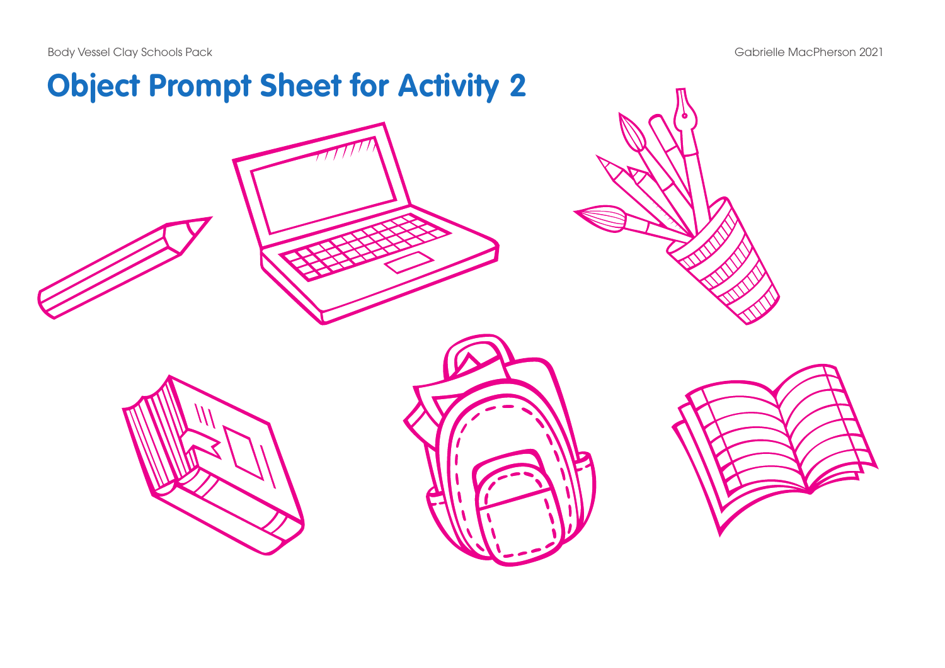Body Vessel Clay Schools Pack and the control of the Schools Pack Gabrielle MacPherson 2021

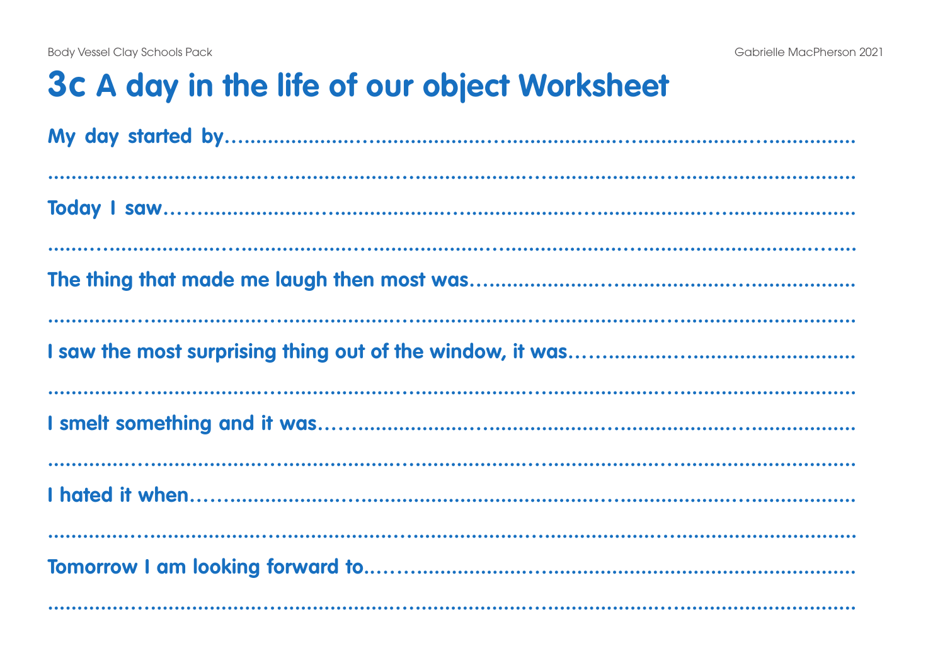## 3c A day in the life of our object Worksheet